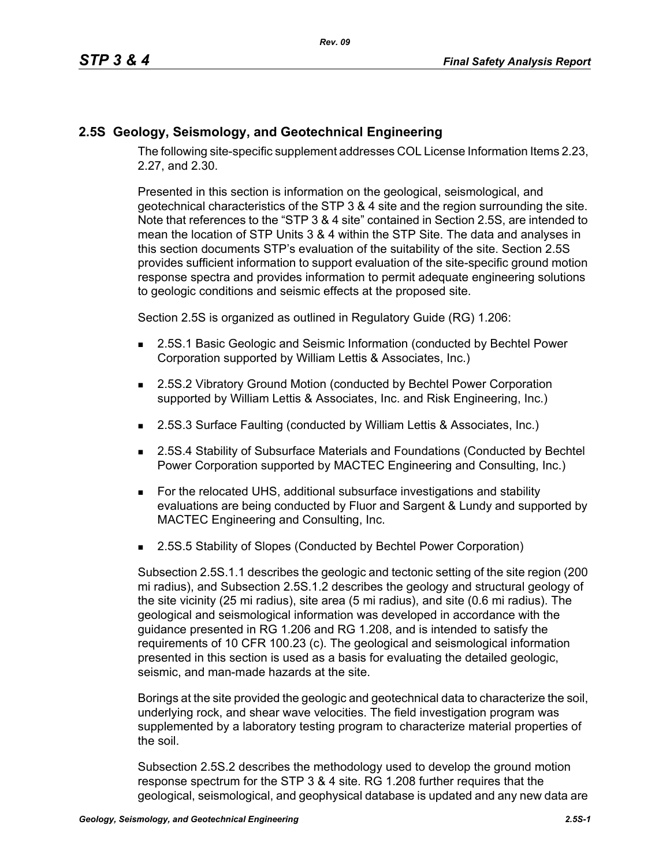## **2.5S Geology, Seismology, and Geotechnical Engineering**

The following site-specific supplement addresses COL License Information Items 2.23, 2.27, and 2.30.

Presented in this section is information on the geological, seismological, and geotechnical characteristics of the STP 3 & 4 site and the region surrounding the site. Note that references to the "STP 3 & 4 site" contained in Section 2.5S, are intended to mean the location of STP Units 3 & 4 within the STP Site. The data and analyses in this section documents STP's evaluation of the suitability of the site. Section 2.5S provides sufficient information to support evaluation of the site-specific ground motion response spectra and provides information to permit adequate engineering solutions to geologic conditions and seismic effects at the proposed site.

Section 2.5S is organized as outlined in Regulatory Guide (RG) 1.206:

- **2.5S.1 Basic Geologic and Seismic Information (conducted by Bechtel Power** Corporation supported by William Lettis & Associates, Inc.)
- 2.5S.2 Vibratory Ground Motion (conducted by Bechtel Power Corporation supported by William Lettis & Associates, Inc. and Risk Engineering, Inc.)
- 2.5S.3 Surface Faulting (conducted by William Lettis & Associates, Inc.)
- 2.5S.4 Stability of Subsurface Materials and Foundations (Conducted by Bechtel Power Corporation supported by MACTEC Engineering and Consulting, Inc.)
- For the relocated UHS, additional subsurface investigations and stability evaluations are being conducted by Fluor and Sargent & Lundy and supported by MACTEC Engineering and Consulting, Inc.
- 2.5S.5 Stability of Slopes (Conducted by Bechtel Power Corporation)

Subsection 2.5S.1.1 describes the geologic and tectonic setting of the site region (200 mi radius), and Subsection 2.5S.1.2 describes the geology and structural geology of the site vicinity (25 mi radius), site area (5 mi radius), and site (0.6 mi radius). The geological and seismological information was developed in accordance with the guidance presented in RG 1.206 and RG 1.208, and is intended to satisfy the requirements of 10 CFR 100.23 (c). The geological and seismological information presented in this section is used as a basis for evaluating the detailed geologic, seismic, and man-made hazards at the site.

Borings at the site provided the geologic and geotechnical data to characterize the soil, underlying rock, and shear wave velocities. The field investigation program was supplemented by a laboratory testing program to characterize material properties of the soil.

Subsection 2.5S.2 describes the methodology used to develop the ground motion response spectrum for the STP 3 & 4 site. RG 1.208 further requires that the geological, seismological, and geophysical database is updated and any new data are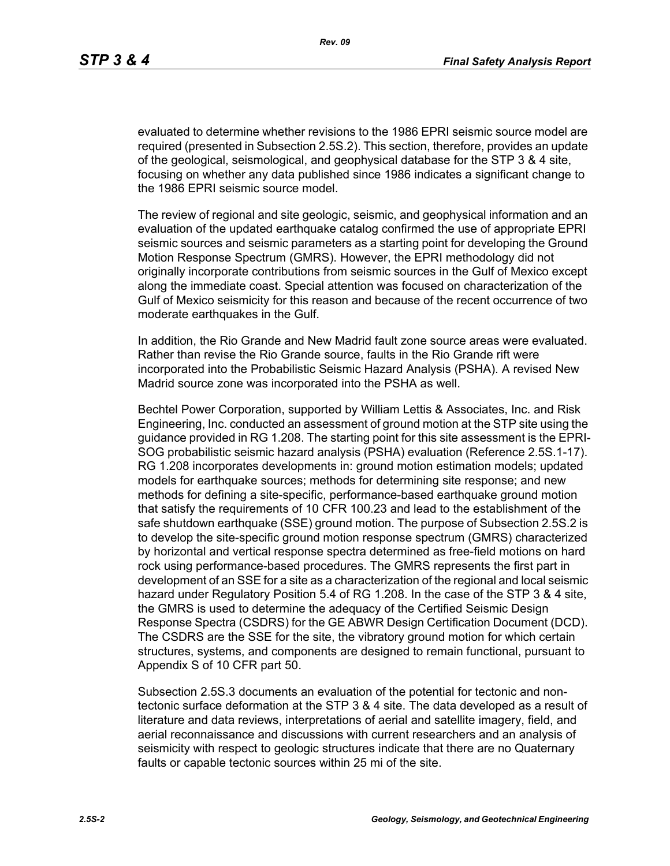evaluated to determine whether revisions to the 1986 EPRI seismic source model are required (presented in Subsection 2.5S.2). This section, therefore, provides an update of the geological, seismological, and geophysical database for the STP 3 & 4 site, focusing on whether any data published since 1986 indicates a significant change to the 1986 EPRI seismic source model.

The review of regional and site geologic, seismic, and geophysical information and an evaluation of the updated earthquake catalog confirmed the use of appropriate EPRI seismic sources and seismic parameters as a starting point for developing the Ground Motion Response Spectrum (GMRS). However, the EPRI methodology did not originally incorporate contributions from seismic sources in the Gulf of Mexico except along the immediate coast. Special attention was focused on characterization of the Gulf of Mexico seismicity for this reason and because of the recent occurrence of two moderate earthquakes in the Gulf.

In addition, the Rio Grande and New Madrid fault zone source areas were evaluated. Rather than revise the Rio Grande source, faults in the Rio Grande rift were incorporated into the Probabilistic Seismic Hazard Analysis (PSHA). A revised New Madrid source zone was incorporated into the PSHA as well.

Bechtel Power Corporation, supported by William Lettis & Associates, Inc. and Risk Engineering, Inc. conducted an assessment of ground motion at the STP site using the guidance provided in RG 1.208. The starting point for this site assessment is the EPRI-SOG probabilistic seismic hazard analysis (PSHA) evaluation (Reference 2.5S.1-17). RG 1.208 incorporates developments in: ground motion estimation models; updated models for earthquake sources; methods for determining site response; and new methods for defining a site-specific, performance-based earthquake ground motion that satisfy the requirements of 10 CFR 100.23 and lead to the establishment of the safe shutdown earthquake (SSE) ground motion. The purpose of Subsection 2.5S.2 is to develop the site-specific ground motion response spectrum (GMRS) characterized by horizontal and vertical response spectra determined as free-field motions on hard rock using performance-based procedures. The GMRS represents the first part in development of an SSE for a site as a characterization of the regional and local seismic hazard under Regulatory Position 5.4 of RG 1.208. In the case of the STP 3 & 4 site, the GMRS is used to determine the adequacy of the Certified Seismic Design Response Spectra (CSDRS) for the GE ABWR Design Certification Document (DCD). The CSDRS are the SSE for the site, the vibratory ground motion for which certain structures, systems, and components are designed to remain functional, pursuant to Appendix S of 10 CFR part 50.

Subsection 2.5S.3 documents an evaluation of the potential for tectonic and nontectonic surface deformation at the STP 3 & 4 site. The data developed as a result of literature and data reviews, interpretations of aerial and satellite imagery, field, and aerial reconnaissance and discussions with current researchers and an analysis of seismicity with respect to geologic structures indicate that there are no Quaternary faults or capable tectonic sources within 25 mi of the site.